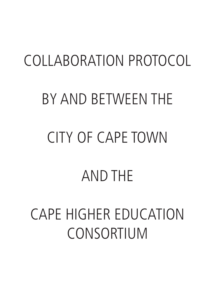# COLLABORATION PROTOCOL BY AND BETWEEN THE CITY OF CAPE TOWN AND THE

CAPE HIGHER EDUCATION CONSORTIUM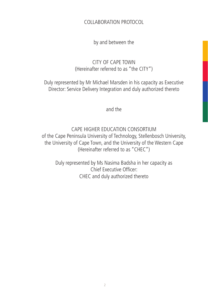COLLABORATION PROTOCOL

by and between the

## CITY OF CAPE TOWN (Hereinafter referred to as "the CITY")

Duly represented by Mr Michael Marsden in his capacity as Executive Director: Service Delivery Integration and duly authorized thereto

and the

CAPE HIGHER EDUCATION CONSORTIUM of the Cape Peninsula University of Technology, Stellenbosch University, the University of Cape Town, and the University of the Western Cape (Hereinafter referred to as "CHEC")

Duly represented by Ms Nasima Badsha in her capacity as Chief Executive Officer: CHEC and duly authorized thereto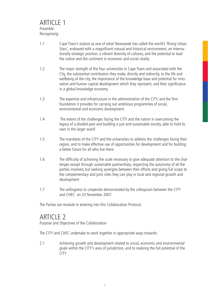- 1.1 Cape Town's stature as one of what Newsweek has called the world's 'Rising Urban Stars', endowed with a magnificent natural and historical environment, an internationally strategic position, a vibrant diversity of cultures, and the potential to lead the nation and the continent in economic and social vitality
- 1.2 The major strength of the four universities in Cape Town and associated with the City, the substantial contribution they make, directly and indirectly, to the life and wellbeing of the city, the importance of the knowledge base and potential for innovation and human capital development which they represent, and their significance in a global knowledge economy
- 1.3 The expertise and infrastructure in the administration of the CITY, and the firm foundation it provides for carrying out ambitious programmes of social, environmental and economic development
- 1.4 The extent of the challenges facing the CITY and the nation in overcoming the legacy of a divided past and building a just and sustainable society, able to hold its own in the larger world
- 1.5 The mandates of the CITY and the universities to address the challenges facing their region, and to make effective use of opportunities for development and for building a better future for all who live there
- 1.6 The difficulty of achieving the scale necessary to give adequate attention to the challenges except through sustainable partnerships, respecting the autonomy of all the parties involved, but seeking synergies between their efforts and giving full scope to the complementary and joint roles they can play in local and regional growth and development
- 1.7 The willingness to cooperate demonstrated by the colloquium between the CITY and CHEC on 23 November 2007

The Parties are resolute in entering into this Collaboration Protocol.

# ARTICLE<sub>2</sub>

Purpose and Objectives of the Collaboration

The CITY and CHEC undertake to work together in appropriate ways towards:

2.1 Achieving growth and development related to social, economic and environmental goals within the CITY's area of jurisdiction, and to realising the full potential of the **CITY**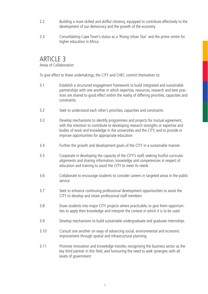- 2.2 Building a more skilled and skillful citizenry, equipped to contribute effectively to the development of our democracy and the growth of the economy
- 2.3 Consolidating Cape Town's status as a 'Rising Urban Star' and the prime centre for higher education in Africa.

# ARTICLE 3

### Areas of Collaboration

To give effect to these undertakings, the CITY and CHEC commit themselves to:

- 3.1 Establish a structured engagement framework to build integrated and sustainable partnerships with one another in which expertise, resources, research and best practices are shared to good effect within the reality of differing priorities, capacities and constraints
- 3.2 Seek to understand each other's priorities, capacities and constraints
- 3.3 Develop mechanisms to identify programmes and projects for mutual agreement, with the intention to contribute to developing research strengths or expertise and bodies of work and knowledge in the universities and the CITY, and to provide or improve opportunities for appropriate education
- 3.4 Further the growth and development goals of the CITY in a sustainable manner
- 3.5 Cooperate in developing the capacity of the CITY's staff, seeking fruitful curricular alignments and sharing information, knowledge and competencies in respect of education and training to assist the CITY to meet its needs
- 3.6 Collaborate to encourage students to consider careers in targeted areas in the public service
- 3.7 Seek to enhance continuing professional development opportunities to assist the CITY to develop and retain professional staff members
- 3.8 Draw students into major CITY projects where practicable, to give them opportunities to apply their knowledge and interpret the context in which it is to be used
- 3.9 Develop mechanisms to build sustainable undergraduate and graduate internships
- 3.10 Consult one another on ways of advancing social, environmental and economic improvement through spatial and infrastructural planning
- 3.11 Promote innovation and knowledge transfer, recognising the business sector as the key third partner in this field, and honouring the need to seek synergies with all levels of government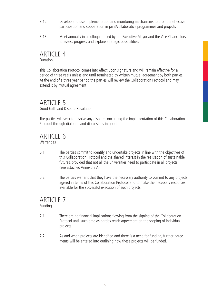- 3.12 Develop and use implementation and monitoring mechanisms to promote effective participation and cooperation in joint/collaborative programmes and projects
- 3.13 Meet annually in a colloquium led by the Executive Mayor and the Vice-Chancellors, to assess progress and explore strategic possibilities.

### ARTICLE 4 Duration

This Collaboration Protocol comes into effect upon signature and will remain effective for a period of three years unless and until terminated by written mutual agreement by both parties. At the end of a three year period the parties will review the Collaboration Protocol and may extend it by mutual agreement.

# **ARTICLE 5**

Good Faith and Dispute Resolution

The parties will seek to resolve any dispute concerning the implementation of this Collaboration Protocol through dialogue and discussions in good faith.

# ARTICLE 6

**Warranties** 

- 6.1 The parties commit to identify and undertake projects in line with the objectives of this Collaboration Protocol and the shared interest in the realisation of sustainable futures, provided that not all the universities need to participate in all projects. (See attached Annexure A)
- 6.2 The parties warrant that they have the necessary authority to commit to any projects agreed in terms of this Collaboration Protocol and to make the necessary resources available for the successful execution of such projects.

# ARTICLE 7

Funding

- 7.1 There are no financial implications flowing from the signing of the Collaboration Protocol until such time as parties reach agreement on the scoping of individual projects.
- 7.2 As and when projects are identified and there is a need for funding, further agreements will be entered into outlining how these projects will be funded.